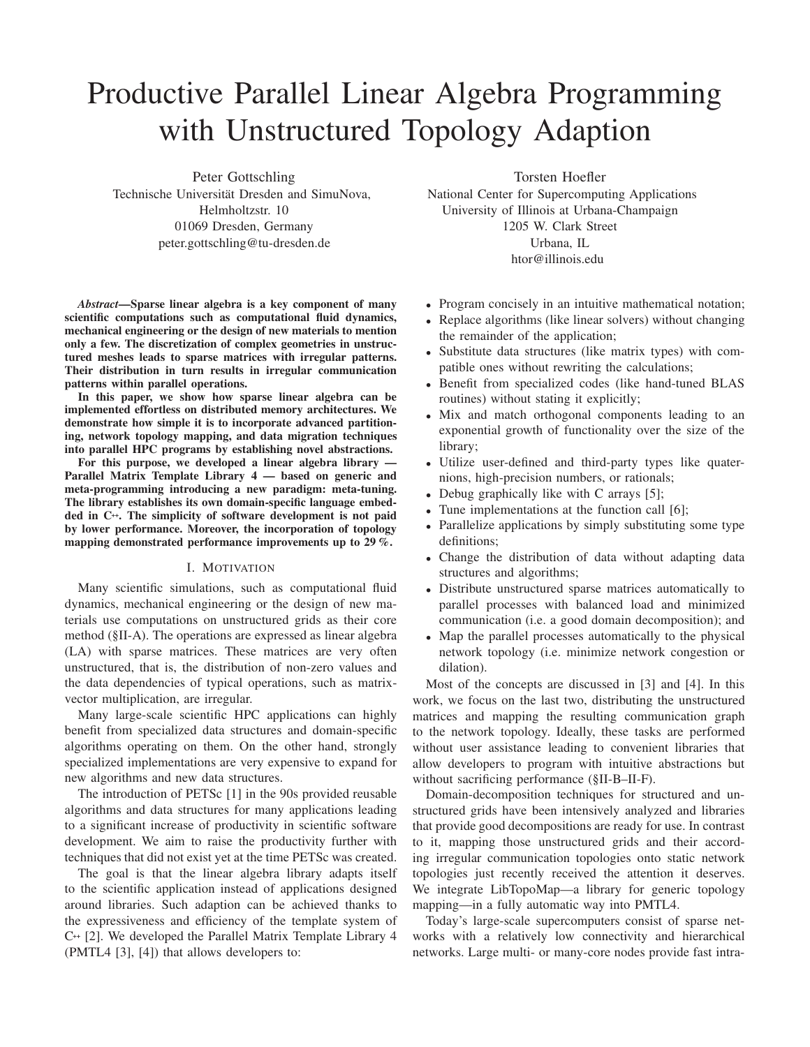# Productive Parallel Linear Algebra Programming with Unstructured Topology Adaption

Peter Gottschling Technische Universität Dresden and SimuNova, Helmholtzstr. 10 01069 Dresden, Germany peter.gottschling@tu-dresden.de

*Abstract***—Sparse linear algebra is a key component of many scientific computations such as computational fluid dynamics, mechanical engineering or the design of new materials to mention only a few. The discretization of complex geometries in unstructured meshes leads to sparse matrices with irregular patterns. Their distribution in turn results in irregular communication patterns within parallel operations.**

**In this paper, we show how sparse linear algebra can be implemented effortless on distributed memory architectures. We demonstrate how simple it is to incorporate advanced partitioning, network topology mapping, and data migration techniques into parallel HPC programs by establishing novel abstractions.**

**For this purpose, we developed a linear algebra library — Parallel Matrix Template Library 4 — based on generic and meta-programming introducing a new paradigm: meta-tuning. The library establishes its own domain-specific language embedded in C++. The simplicity of software development is not paid by lower performance. Moreover, the incorporation of topology mapping demonstrated performance improvements up to 29 %.**

#### I. MOTIVATION

Many scientific simulations, such as computational fluid dynamics, mechanical engineering or the design of new materials use computations on unstructured grids as their core method (§II-A). The operations are expressed as linear algebra (LA) with sparse matrices. These matrices are very often unstructured, that is, the distribution of non-zero values and the data dependencies of typical operations, such as matrixvector multiplication, are irregular.

Many large-scale scientific HPC applications can highly benefit from specialized data structures and domain-specific algorithms operating on them. On the other hand, strongly specialized implementations are very expensive to expand for new algorithms and new data structures.

The introduction of PETSc [1] in the 90s provided reusable algorithms and data structures for many applications leading to a significant increase of productivity in scientific software development. We aim to raise the productivity further with techniques that did not exist yet at the time PETSc was created.

The goal is that the linear algebra library adapts itself to the scientific application instead of applications designed around libraries. Such adaption can be achieved thanks to the expressiveness and efficiency of the template system of C**++** [2]. We developed the Parallel Matrix Template Library 4 (PMTL4 [3], [4]) that allows developers to:

Torsten Hoefler

National Center for Supercomputing Applications University of Illinois at Urbana-Champaign 1205 W. Clark Street Urbana, IL htor@illinois.edu

- Program concisely in an intuitive mathematical notation;
- Replace algorithms (like linear solvers) without changing the remainder of the application;
- Substitute data structures (like matrix types) with compatible ones without rewriting the calculations;
- Benefit from specialized codes (like hand-tuned BLAS routines) without stating it explicitly;
- Mix and match orthogonal components leading to an exponential growth of functionality over the size of the library;
- Utilize user-defined and third-party types like quaternions, high-precision numbers, or rationals;
- Debug graphically like with C arrays [5];
- Tune implementations at the function call [6];
- Parallelize applications by simply substituting some type definitions;
- Change the distribution of data without adapting data structures and algorithms;
- Distribute unstructured sparse matrices automatically to parallel processes with balanced load and minimized communication (i.e. a good domain decomposition); and
- Map the parallel processes automatically to the physical network topology (i.e. minimize network congestion or dilation).

Most of the concepts are discussed in [3] and [4]. In this work, we focus on the last two, distributing the unstructured matrices and mapping the resulting communication graph to the network topology. Ideally, these tasks are performed without user assistance leading to convenient libraries that allow developers to program with intuitive abstractions but without sacrificing performance (§II-B–II-F).

Domain-decomposition techniques for structured and unstructured grids have been intensively analyzed and libraries that provide good decompositions are ready for use. In contrast to it, mapping those unstructured grids and their according irregular communication topologies onto static network topologies just recently received the attention it deserves. We integrate LibTopoMap—a library for generic topology mapping—in a fully automatic way into PMTL4.

Today's large-scale supercomputers consist of sparse networks with a relatively low connectivity and hierarchical networks. Large multi- or many-core nodes provide fast intra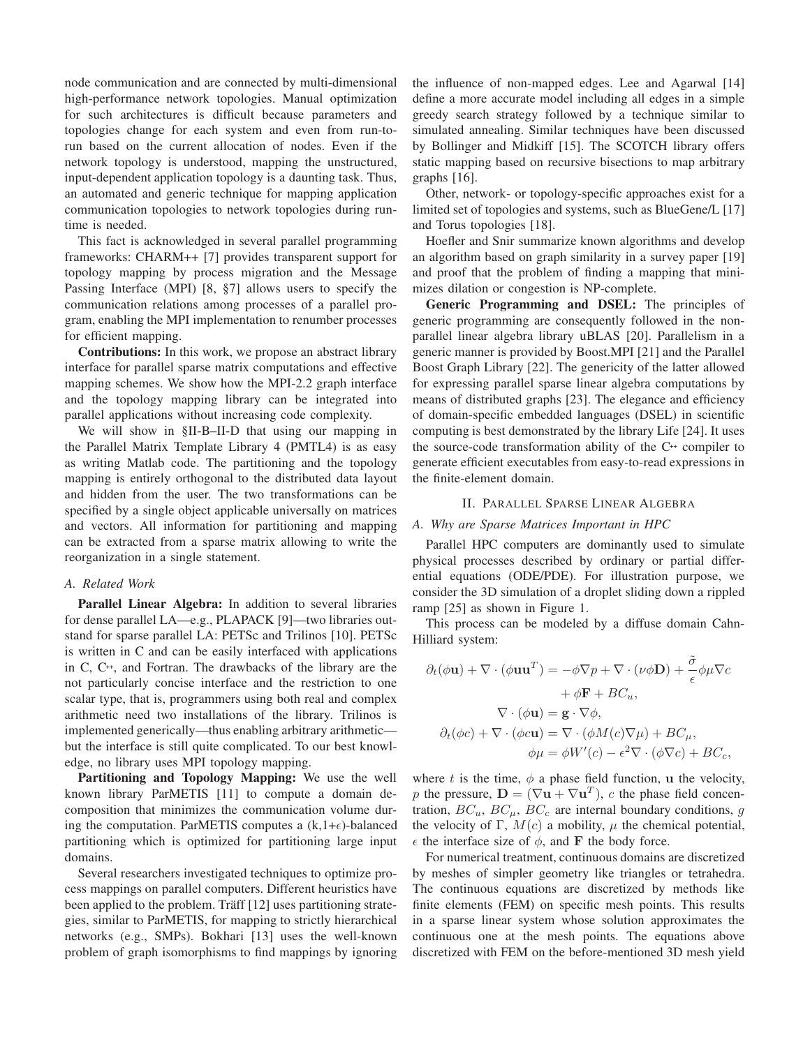node communication and are connected by multi-dimensional high-performance network topologies. Manual optimization for such architectures is difficult because parameters and topologies change for each system and even from run-torun based on the current allocation of nodes. Even if the network topology is understood, mapping the unstructured, input-dependent application topology is a daunting task. Thus, an automated and generic technique for mapping application communication topologies to network topologies during runtime is needed.

This fact is acknowledged in several parallel programming frameworks: CHARM++ [7] provides transparent support for topology mapping by process migration and the Message Passing Interface (MPI) [8, §7] allows users to specify the communication relations among processes of a parallel program, enabling the MPI implementation to renumber processes for efficient mapping.

**Contributions:** In this work, we propose an abstract library interface for parallel sparse matrix computations and effective mapping schemes. We show how the MPI-2.2 graph interface and the topology mapping library can be integrated into parallel applications without increasing code complexity.

We will show in §II-B–II-D that using our mapping in the Parallel Matrix Template Library 4 (PMTL4) is as easy as writing Matlab code. The partitioning and the topology mapping is entirely orthogonal to the distributed data layout and hidden from the user. The two transformations can be specified by a single object applicable universally on matrices and vectors. All information for partitioning and mapping can be extracted from a sparse matrix allowing to write the reorganization in a single statement.

## *A. Related Work*

**Parallel Linear Algebra:** In addition to several libraries for dense parallel LA—e.g., PLAPACK [9]—two libraries outstand for sparse parallel LA: PETSc and Trilinos [10]. PETSc is written in C and can be easily interfaced with applications in C, C**++**, and Fortran. The drawbacks of the library are the not particularly concise interface and the restriction to one scalar type, that is, programmers using both real and complex arithmetic need two installations of the library. Trilinos is implemented generically—thus enabling arbitrary arithmetic but the interface is still quite complicated. To our best knowledge, no library uses MPI topology mapping.

**Partitioning and Topology Mapping:** We use the well known library ParMETIS [11] to compute a domain decomposition that minimizes the communication volume during the computation. ParMETIS computes a  $(k,1+\epsilon)$ -balanced partitioning which is optimized for partitioning large input domains.

Several researchers investigated techniques to optimize process mappings on parallel computers. Different heuristics have been applied to the problem. Träff [12] uses partitioning strategies, similar to ParMETIS, for mapping to strictly hierarchical networks (e.g., SMPs). Bokhari [13] uses the well-known problem of graph isomorphisms to find mappings by ignoring the influence of non-mapped edges. Lee and Agarwal [14] define a more accurate model including all edges in a simple greedy search strategy followed by a technique similar to simulated annealing. Similar techniques have been discussed by Bollinger and Midkiff [15]. The SCOTCH library offers static mapping based on recursive bisections to map arbitrary graphs [16].

Other, network- or topology-specific approaches exist for a limited set of topologies and systems, such as BlueGene/L [17] and Torus topologies [18].

Hoefler and Snir summarize known algorithms and develop an algorithm based on graph similarity in a survey paper [19] and proof that the problem of finding a mapping that minimizes dilation or congestion is NP-complete.

**Generic Programming and DSEL:** The principles of generic programming are consequently followed in the nonparallel linear algebra library uBLAS [20]. Parallelism in a generic manner is provided by Boost.MPI [21] and the Parallel Boost Graph Library [22]. The genericity of the latter allowed for expressing parallel sparse linear algebra computations by means of distributed graphs [23]. The elegance and efficiency of domain-specific embedded languages (DSEL) in scientific computing is best demonstrated by the library Life [24]. It uses the source-code transformation ability of the C**++** compiler to generate efficient executables from easy-to-read expressions in the finite-element domain.

# II. PARALLEL SPARSE LINEAR ALGEBRA

# *A. Why are Sparse Matrices Important in HPC*

Parallel HPC computers are dominantly used to simulate physical processes described by ordinary or partial differential equations (ODE/PDE). For illustration purpose, we consider the 3D simulation of a droplet sliding down a rippled ramp [25] as shown in Figure 1.

This process can be modeled by a diffuse domain Cahn-Hilliard system:

$$
\partial_t(\phi \mathbf{u}) + \nabla \cdot (\phi \mathbf{u} \mathbf{u}^T) = -\phi \nabla p + \nabla \cdot (\nu \phi \mathbf{D}) + \frac{\tilde{\sigma}}{\epsilon} \phi \mu \nabla c
$$
  
+  $\phi \mathbf{F} + BC_u$ ,  

$$
\nabla \cdot (\phi \mathbf{u}) = \mathbf{g} \cdot \nabla \phi,
$$
  

$$
\partial_t(\phi c) + \nabla \cdot (\phi c \mathbf{u}) = \nabla \cdot (\phi M(c) \nabla \mu) + BC_\mu,
$$
  

$$
\phi \mu = \phi W'(c) - \epsilon^2 \nabla \cdot (\phi \nabla c) + BC_c,
$$

where t is the time,  $\phi$  a phase field function, u the velocity, p the pressure,  $\mathbf{D} = (\nabla \mathbf{u} + \nabla \mathbf{u}^T)$ , c the phase field concentration,  $BC_u$ ,  $BC_\mu$ ,  $BC_c$  are internal boundary conditions, g the velocity of Γ,  $M(c)$  a mobility,  $\mu$  the chemical potential,  $\epsilon$  the interface size of  $\phi$ , and **F** the body force.

For numerical treatment, continuous domains are discretized by meshes of simpler geometry like triangles or tetrahedra. The continuous equations are discretized by methods like finite elements (FEM) on specific mesh points. This results in a sparse linear system whose solution approximates the continuous one at the mesh points. The equations above discretized with FEM on the before-mentioned 3D mesh yield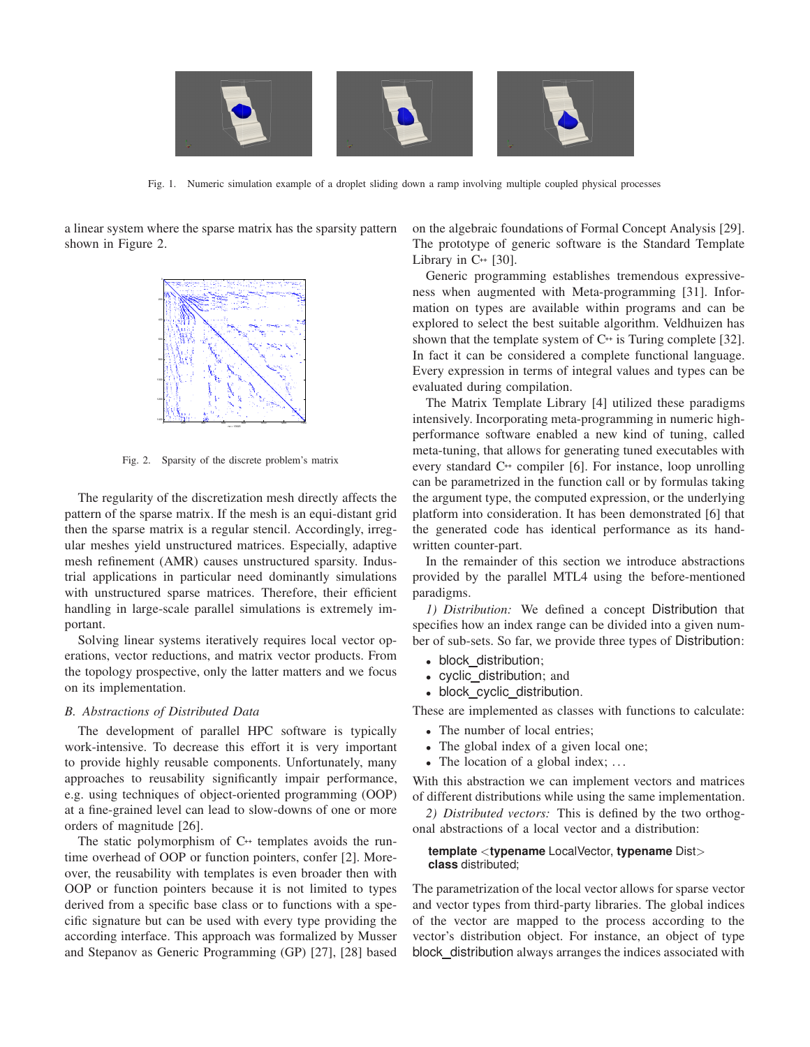

Fig. 1. Numeric simulation example of a droplet sliding down a ramp involving multiple coupled physical processes

a linear system where the sparse matrix has the sparsity pattern shown in Figure 2.



Fig. 2. Sparsity of the discrete problem's matrix

The regularity of the discretization mesh directly affects the pattern of the sparse matrix. If the mesh is an equi-distant grid then the sparse matrix is a regular stencil. Accordingly, irregular meshes yield unstructured matrices. Especially, adaptive mesh refinement (AMR) causes unstructured sparsity. Industrial applications in particular need dominantly simulations with unstructured sparse matrices. Therefore, their efficient handling in large-scale parallel simulations is extremely important.

Solving linear systems iteratively requires local vector operations, vector reductions, and matrix vector products. From the topology prospective, only the latter matters and we focus on its implementation.

### *B. Abstractions of Distributed Data*

The development of parallel HPC software is typically work-intensive. To decrease this effort it is very important to provide highly reusable components. Unfortunately, many approaches to reusability significantly impair performance, e.g. using techniques of object-oriented programming (OOP) at a fine-grained level can lead to slow-downs of one or more orders of magnitude [26].

The static polymorphism of C<sup>++</sup> templates avoids the runtime overhead of OOP or function pointers, confer [2]. Moreover, the reusability with templates is even broader then with OOP or function pointers because it is not limited to types derived from a specific base class or to functions with a specific signature but can be used with every type providing the according interface. This approach was formalized by Musser and Stepanov as Generic Programming (GP) [27], [28] based

on the algebraic foundations of Formal Concept Analysis [29]. The prototype of generic software is the Standard Template Library in C**++** [30].

Generic programming establishes tremendous expressiveness when augmented with Meta-programming [31]. Information on types are available within programs and can be explored to select the best suitable algorithm. Veldhuizen has shown that the template system of C<sup>++</sup> is Turing complete [32]. In fact it can be considered a complete functional language. Every expression in terms of integral values and types can be evaluated during compilation.

The Matrix Template Library [4] utilized these paradigms intensively. Incorporating meta-programming in numeric highperformance software enabled a new kind of tuning, called meta-tuning, that allows for generating tuned executables with every standard C**++** compiler [6]. For instance, loop unrolling can be parametrized in the function call or by formulas taking the argument type, the computed expression, or the underlying platform into consideration. It has been demonstrated [6] that the generated code has identical performance as its handwritten counter-part.

In the remainder of this section we introduce abstractions provided by the parallel MTL4 using the before-mentioned paradigms.

*1) Distribution:* We defined a concept Distribution that specifies how an index range can be divided into a given number of sub-sets. So far, we provide three types of Distribution:

- block distribution;
- cyclic\_distribution; and
- block\_cyclic\_distribution.

These are implemented as classes with functions to calculate:

- The number of local entries;
- The global index of a given local one;
- The location of a global index; ...

With this abstraction we can implement vectors and matrices of different distributions while using the same implementation.

*2) Distributed vectors:* This is defined by the two orthogonal abstractions of a local vector and a distribution:

#### **template** <**typename** LocalVector, **typename** Dist> **class** distributed;

The parametrization of the local vector allows for sparse vector and vector types from third-party libraries. The global indices of the vector are mapped to the process according to the vector's distribution object. For instance, an object of type block distribution always arranges the indices associated with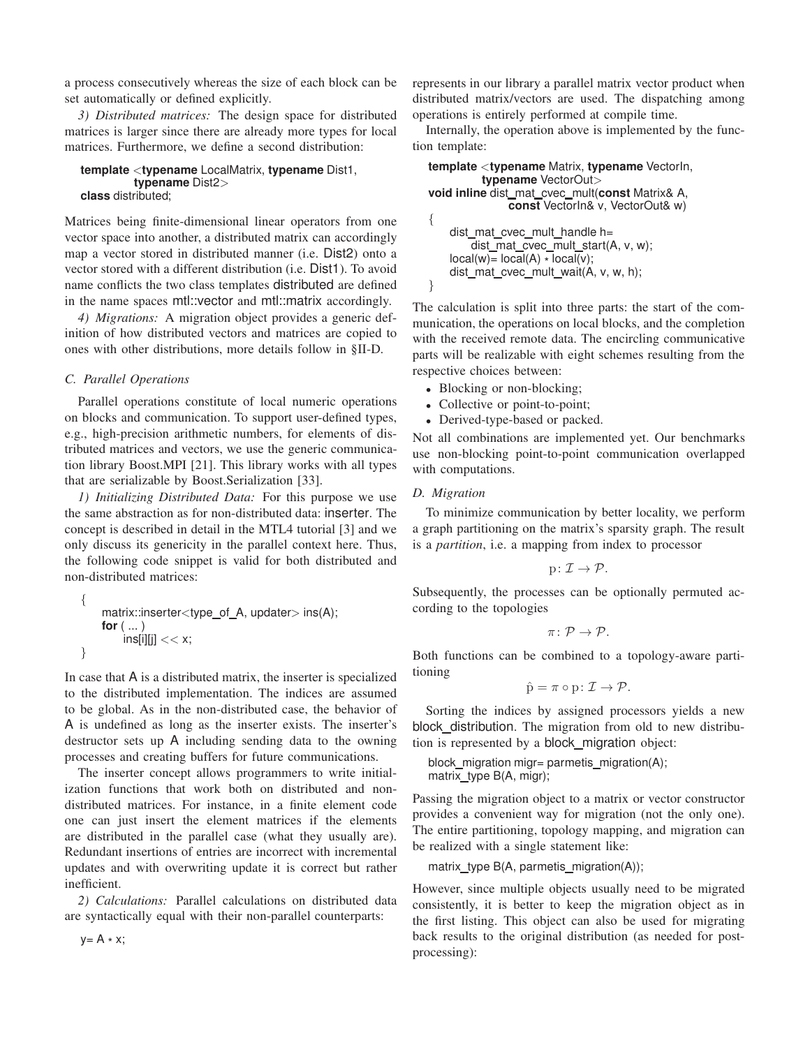a process consecutively whereas the size of each block can be set automatically or defined explicitly.

*3) Distributed matrices:* The design space for distributed matrices is larger since there are already more types for local matrices. Furthermore, we define a second distribution:

#### **template** <**typename** LocalMatrix, **typename** Dist1, **typename** Dist2> **class** distributed;

Matrices being finite-dimensional linear operators from one vector space into another, a distributed matrix can accordingly map a vector stored in distributed manner (i.e. Dist2) onto a vector stored with a different distribution (i.e. Dist1). To avoid name conflicts the two class templates distributed are defined in the name spaces mtl::vector and mtl::matrix accordingly.

*4) Migrations:* A migration object provides a generic definition of how distributed vectors and matrices are copied to ones with other distributions, more details follow in §II-D.

# *C. Parallel Operations*

Parallel operations constitute of local numeric operations on blocks and communication. To support user-defined types, e.g., high-precision arithmetic numbers, for elements of distributed matrices and vectors, we use the generic communication library Boost.MPI [21]. This library works with all types that are serializable by Boost.Serialization [33].

*1) Initializing Distributed Data:* For this purpose we use the same abstraction as for non-distributed data: inserter. The concept is described in detail in the MTL4 tutorial [3] and we only discuss its genericity in the parallel context here. Thus, the following code snippet is valid for both distributed and non-distributed matrices:

$$
\{\begin{array}{c}\n\text{matrix::inserter}{<}\text{type\_of\_A}, \text{update}> \text{ins(A)};\n\text{for } (\dots) \\
\text{ins[i][j]} << x;\n\end{array}
$$

In case that A is a distributed matrix, the inserter is specialized to the distributed implementation. The indices are assumed to be global. As in the non-distributed case, the behavior of A is undefined as long as the inserter exists. The inserter's destructor sets up A including sending data to the owning processes and creating buffers for future communications.

The inserter concept allows programmers to write initialization functions that work both on distributed and nondistributed matrices. For instance, in a finite element code one can just insert the element matrices if the elements are distributed in the parallel case (what they usually are). Redundant insertions of entries are incorrect with incremental updates and with overwriting update it is correct but rather inefficient.

*2) Calculations:* Parallel calculations on distributed data are syntactically equal with their non-parallel counterparts:

represents in our library a parallel matrix vector product when distributed matrix/vectors are used. The dispatching among operations is entirely performed at compile time.

Internally, the operation above is implemented by the function template:

```
template <typename Matrix, typename VectorIn,
         typename VectorOut>
void inline dist mat cvec mult(const Matrix& A,
              const VectorIn& v, VectorOut& w)
{
    dist_mat_cvec_mult_handle h=
       dist_mat_cvec_mult_start(A, v, w);
    local(w)= local(A)
*
local(v);
    dist_mat_cvec_mult_wait(A, v, w, h);
}
```
The calculation is split into three parts: the start of the communication, the operations on local blocks, and the completion with the received remote data. The encircling communicative parts will be realizable with eight schemes resulting from the respective choices between:

- Blocking or non-blocking;
- Collective or point-to-point;
- Derived-type-based or packed.

Not all combinations are implemented yet. Our benchmarks use non-blocking point-to-point communication overlapped with computations.

## *D. Migration*

To minimize communication by better locality, we perform a graph partitioning on the matrix's sparsity graph. The result is a *partition*, i.e. a mapping from index to processor

$$
p\colon \mathcal{I}\to \mathcal{P}.
$$

Subsequently, the processes can be optionally permuted according to the topologies

$$
\pi\colon \mathcal{P}\to \mathcal{P}.
$$

Both functions can be combined to a topology-aware partitioning

$$
\hat{p} = \pi \circ p \colon \mathcal{I} \to \mathcal{P}.
$$

Sorting the indices by assigned processors yields a new block distribution. The migration from old to new distribution is represented by a block migration object:

block\_migration migr= parmetis\_migration(A); matrix\_type B(A, migr);

Passing the migration object to a matrix or vector constructor provides a convenient way for migration (not the only one). The entire partitioning, topology mapping, and migration can be realized with a single statement like:

matrix\_type B(A, parmetis\_migration(A));

However, since multiple objects usually need to be migrated consistently, it is better to keep the migration object as in the first listing. This object can also be used for migrating back results to the original distribution (as needed for postprocessing):

y= A \* x;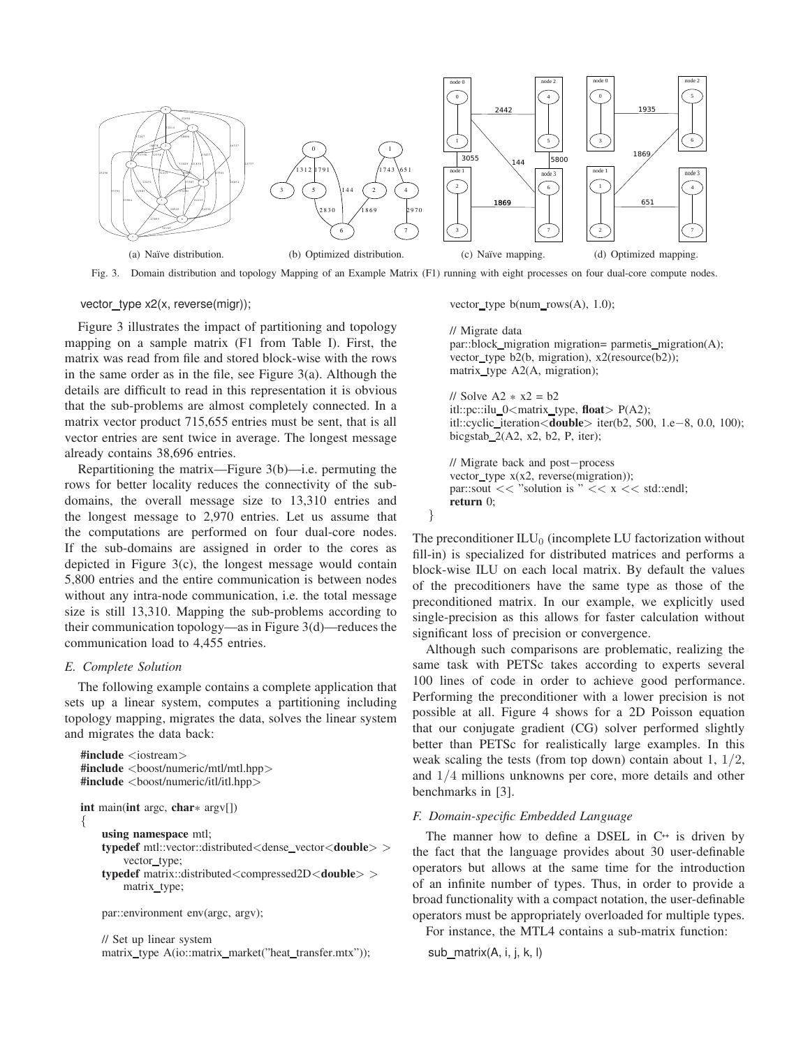

Fig. 3. Domain distribution and topology Mapping of an Example Matrix (F1) running with eight processes on four dual-core compute nodes.

}

vector\_type x2(x, reverse(migr));

Figure 3 illustrates the impact of partitioning and topology mapping on a sample matrix (F1 from Table I). First, the matrix was read from file and stored block-wise with the rows in the same order as in the file, see Figure 3(a). Although the details are difficult to read in this representation it is obvious that the sub-problems are almost completely connected. In a matrix vector product 715,655 entries must be sent, that is all vector entries are sent twice in average. The longest message already contains 38,696 entries.

Repartitioning the matrix—Figure 3(b)—i.e. permuting the rows for better locality reduces the connectivity of the subdomains, the overall message size to 13,310 entries and the longest message to 2,970 entries. Let us assume that the computations are performed on four dual-core nodes. If the sub-domains are assigned in order to the cores as depicted in Figure 3(c), the longest message would contain 5,800 entries and the entire communication is between nodes without any intra-node communication, i.e. the total message size is still 13,310. Mapping the sub-problems according to their communication topology—as in Figure 3(d)—reduces the communication load to 4,455 entries.

## *E. Complete Solution*

The following example contains a complete application that sets up a linear system, computes a partitioning including topology mapping, migrates the data, solves the linear system and migrates the data back:

```
#include <iostream>
#include <boost/numeric/mtl/mtl.hpp>
#include <boost/numeric/itl/itl.hpp>
int main(int argc, char* argv[])
{
    using namespace mtl;
    typedef mtl::vector::distributed<dense vector<double> >
        vector_type;
    typedef matrix::distributed<compressed2D<double> >
```
par::environment env(argc, argv);

matrix\_type;

// Set up linear system matrix\_type A(io::matrix\_market("heat\_transfer.mtx")); vector\_type  $b(num_{av}(A), 1.0);$ 

```
// Migrate data
par::block_migration migration= parmetis_migration(A);
vector_type b2(b, migration), x2(resource(b2));
matrix_type A2(A, migration);
// Solve A2 * x2 = b2itl::pc::ilu_0<matrix_type, float> P(A2);
itl::cyclic iteration<double> iter(b2, 500, 1.e−8, 0.0, 100);
bicgstab 2(A2, x2, b2, P, iter);
// Migrate back and post−process
vector_type x(x2), reverse(migration));
par::sout << "solution is " << x << std::endl;
return 0;
```
The preconditioner  $ILU_0$  (incomplete LU factorization without fill-in) is specialized for distributed matrices and performs a block-wise ILU on each local matrix. By default the values of the precoditioners have the same type as those of the preconditioned matrix. In our example, we explicitly used single-precision as this allows for faster calculation without significant loss of precision or convergence.

Although such comparisons are problematic, realizing the same task with PETSc takes according to experts several 100 lines of code in order to achieve good performance. Performing the preconditioner with a lower precision is not possible at all. Figure 4 shows for a 2D Poisson equation that our conjugate gradient (CG) solver performed slightly better than PETSc for realistically large examples. In this weak scaling the tests (from top down) contain about 1,  $1/2$ , and 1/4 millions unknowns per core, more details and other benchmarks in [3].

## *F. Domain-specific Embedded Language*

The manner how to define a DSEL in C**++** is driven by the fact that the language provides about 30 user-definable operators but allows at the same time for the introduction of an infinite number of types. Thus, in order to provide a broad functionality with a compact notation, the user-definable operators must be appropriately overloaded for multiple types.

For instance, the MTL4 contains a sub-matrix function:

sub\_matrix(A, i, j, k, l)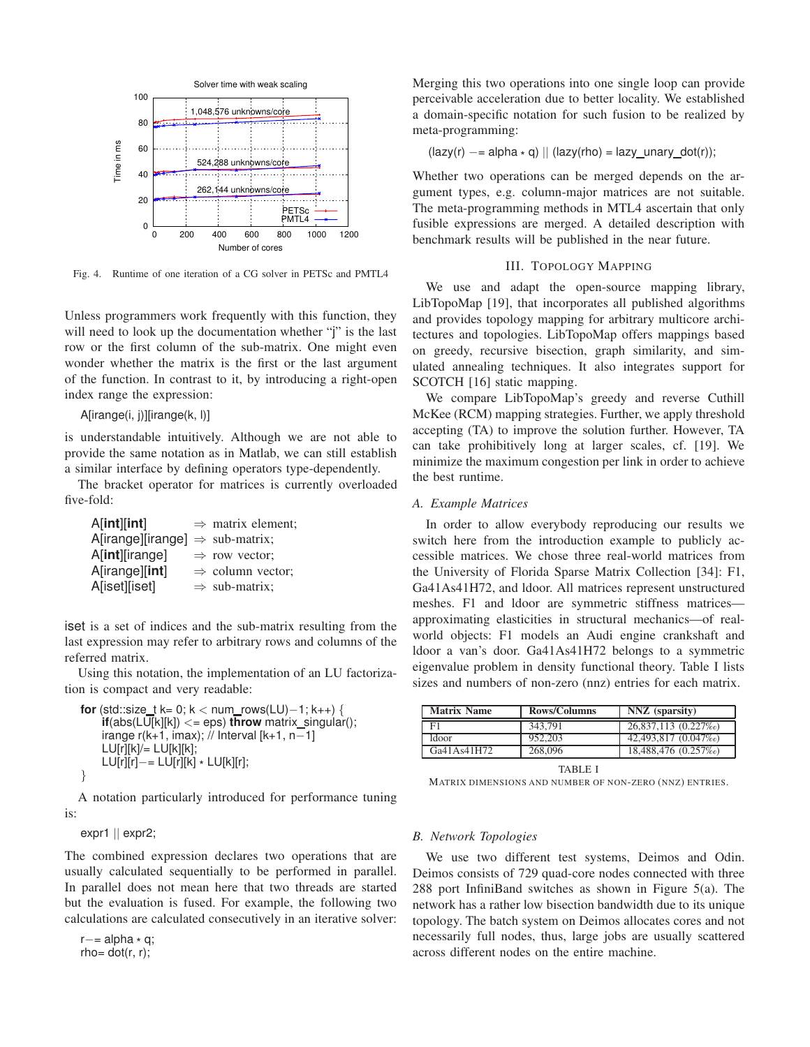

Fig. 4. Runtime of one iteration of a CG solver in PETSc and PMTL4

Unless programmers work frequently with this function, they will need to look up the documentation whether "j" is the last row or the first column of the sub-matrix. One might even wonder whether the matrix is the first or the last argument of the function. In contrast to it, by introducing a right-open index range the expression:

A[irange(i, j)][irange(k, l)]

is understandable intuitively. Although we are not able to provide the same notation as in Matlab, we can still establish a similar interface by defining operators type-dependently.

The bracket operator for matrices is currently overloaded five-fold:

| $A$ [int][int]                              | $\Rightarrow$ matrix element: |
|---------------------------------------------|-------------------------------|
| A[irange][irange] $\Rightarrow$ sub-matrix; |                               |
| A[int][irange]                              | $\Rightarrow$ row vector;     |
| A[irange][int]                              | $\Rightarrow$ column vector;  |
| A[iset][iset]                               | $\Rightarrow$ sub-matrix;     |

iset is a set of indices and the sub-matrix resulting from the last expression may refer to arbitrary rows and columns of the referred matrix.

Using this notation, the implementation of an LU factorization is compact and very readable:

```
for (std::size_t k= 0; k < num_rows(LU)−1; k++) {
    if(abs(LU[k][k]) \leq eps) throw matrix_singular();
    irange r(k+1, imax); // Interval [k+1, n-1]LU[r][k]/= LU[k][k];
    LU[r][r]—= LU[r][k] ∗ LU[k][r];
}
```
A notation particularly introduced for performance tuning is:

expr1 || expr2;

The combined expression declares two operations that are usually calculated sequentially to be performed in parallel. In parallel does not mean here that two threads are started but the evaluation is fused. For example, the following two calculations are calculated consecutively in an iterative solver:

r−= alpha \* q;  $rho = dot(r, r);$ 

Merging this two operations into one single loop can provide perceivable acceleration due to better locality. We established a domain-specific notation for such fusion to be realized by meta-programming:

(lazy(r) −= alpha <sub>\*</sub> q) || (lazy(rho) = lazy\_unary\_dot(r));

Whether two operations can be merged depends on the argument types, e.g. column-major matrices are not suitable. The meta-programming methods in MTL4 ascertain that only fusible expressions are merged. A detailed description with benchmark results will be published in the near future.

#### III. TOPOLOGY MAPPING

We use and adapt the open-source mapping library, LibTopoMap [19], that incorporates all published algorithms and provides topology mapping for arbitrary multicore architectures and topologies. LibTopoMap offers mappings based on greedy, recursive bisection, graph similarity, and simulated annealing techniques. It also integrates support for SCOTCH [16] static mapping.

We compare LibTopoMap's greedy and reverse Cuthill McKee (RCM) mapping strategies. Further, we apply threshold accepting (TA) to improve the solution further. However, TA can take prohibitively long at larger scales, cf. [19]. We minimize the maximum congestion per link in order to achieve the best runtime.

## *A. Example Matrices*

In order to allow everybody reproducing our results we switch here from the introduction example to publicly accessible matrices. We chose three real-world matrices from the University of Florida Sparse Matrix Collection [34]: F1, Ga41As41H72, and ldoor. All matrices represent unstructured meshes. F1 and ldoor are symmetric stiffness matrices approximating elasticities in structural mechanics—of realworld objects: F1 models an Audi engine crankshaft and ldoor a van's door. Ga41As41H72 belongs to a symmetric eigenvalue problem in density functional theory. Table I lists sizes and numbers of non-zero (nnz) entries for each matrix.

| <b>Matrix Name</b>       | <b>Rows/Columns</b> | NNZ (sparsity)        |
|--------------------------|---------------------|-----------------------|
| F1                       | 343.791             | $26.837.113(0.227\%)$ |
| ldoor                    | 952.203             | $42.493.817(0.047\%)$ |
| Ga41A <sub>s41</sub> H72 | 268,096             | 18,488,476 (0.257\%)  |
|                          |                     |                       |

TABLE I

MATRIX DIMENSIONS AND NUMBER OF NON-ZERO (NNZ) ENTRIES.

#### *B. Network Topologies*

We use two different test systems, Deimos and Odin. Deimos consists of 729 quad-core nodes connected with three 288 port InfiniBand switches as shown in Figure 5(a). The network has a rather low bisection bandwidth due to its unique topology. The batch system on Deimos allocates cores and not necessarily full nodes, thus, large jobs are usually scattered across different nodes on the entire machine.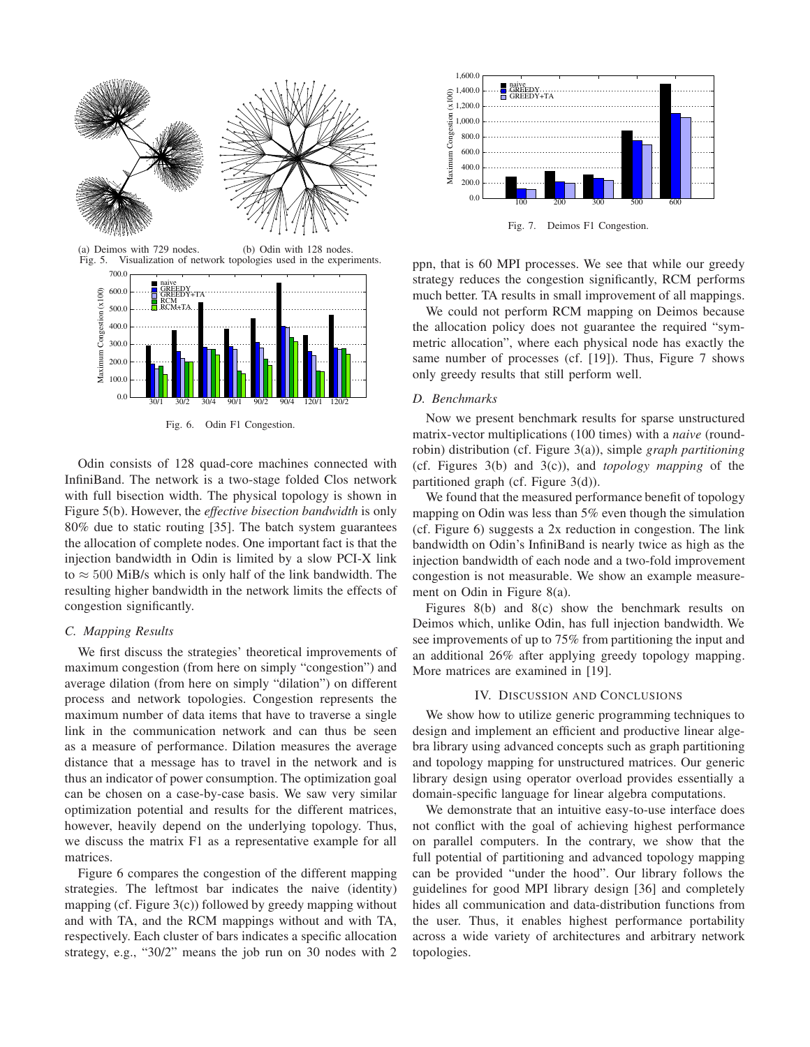

(a) Deimos with 729 nodes. (b) Odin with 128 nodes<br>Fig. 5. Visualization of network topologies used in the exper Visualization of network topologies used in the experiments.



Fig. 6. Odin F1 Congestion.

Odin consists of 128 quad-core machines connected with InfiniBand. The network is a two-stage folded Clos network with full bisection width. The physical topology is shown in Figure 5(b). However, the *effective bisection bandwidth* is only 80% due to static routing [35]. The batch system guarantees the allocation of complete nodes. One important fact is that the injection bandwidth in Odin is limited by a slow PCI-X link to  $\approx$  500 MiB/s which is only half of the link bandwidth. The resulting higher bandwidth in the network limits the effects of congestion significantly.

## *C. Mapping Results*

We first discuss the strategies' theoretical improvements of maximum congestion (from here on simply "congestion") and average dilation (from here on simply "dilation") on different process and network topologies. Congestion represents the maximum number of data items that have to traverse a single link in the communication network and can thus be seen as a measure of performance. Dilation measures the average distance that a message has to travel in the network and is thus an indicator of power consumption. The optimization goal can be chosen on a case-by-case basis. We saw very similar optimization potential and results for the different matrices, however, heavily depend on the underlying topology. Thus, we discuss the matrix F1 as a representative example for all matrices.

Figure 6 compares the congestion of the different mapping strategies. The leftmost bar indicates the naive (identity) mapping (cf. Figure 3(c)) followed by greedy mapping without and with TA, and the RCM mappings without and with TA, respectively. Each cluster of bars indicates a specific allocation strategy, e.g., "30/2" means the job run on 30 nodes with 2



Fig. 7. Deimos F1 Congestion.

ppn, that is 60 MPI processes. We see that while our greedy strategy reduces the congestion significantly, RCM performs much better. TA results in small improvement of all mappings.

We could not perform RCM mapping on Deimos because the allocation policy does not guarantee the required "symmetric allocation", where each physical node has exactly the same number of processes (cf. [19]). Thus, Figure 7 shows only greedy results that still perform well.

## *D. Benchmarks*

Now we present benchmark results for sparse unstructured matrix-vector multiplications (100 times) with a *naive* (roundrobin) distribution (cf. Figure 3(a)), simple *graph partitioning* (cf. Figures 3(b) and 3(c)), and *topology mapping* of the partitioned graph (cf. Figure 3(d)).

We found that the measured performance benefit of topology mapping on Odin was less than 5% even though the simulation (cf. Figure 6) suggests a 2x reduction in congestion. The link bandwidth on Odin's InfiniBand is nearly twice as high as the injection bandwidth of each node and a two-fold improvement congestion is not measurable. We show an example measurement on Odin in Figure 8(a).

Figures 8(b) and 8(c) show the benchmark results on Deimos which, unlike Odin, has full injection bandwidth. We see improvements of up to 75% from partitioning the input and an additional 26% after applying greedy topology mapping. More matrices are examined in [19].

#### IV. DISCUSSION AND CONCLUSIONS

We show how to utilize generic programming techniques to design and implement an efficient and productive linear algebra library using advanced concepts such as graph partitioning and topology mapping for unstructured matrices. Our generic library design using operator overload provides essentially a domain-specific language for linear algebra computations.

We demonstrate that an intuitive easy-to-use interface does not conflict with the goal of achieving highest performance on parallel computers. In the contrary, we show that the full potential of partitioning and advanced topology mapping can be provided "under the hood". Our library follows the guidelines for good MPI library design [36] and completely hides all communication and data-distribution functions from the user. Thus, it enables highest performance portability across a wide variety of architectures and arbitrary network topologies.